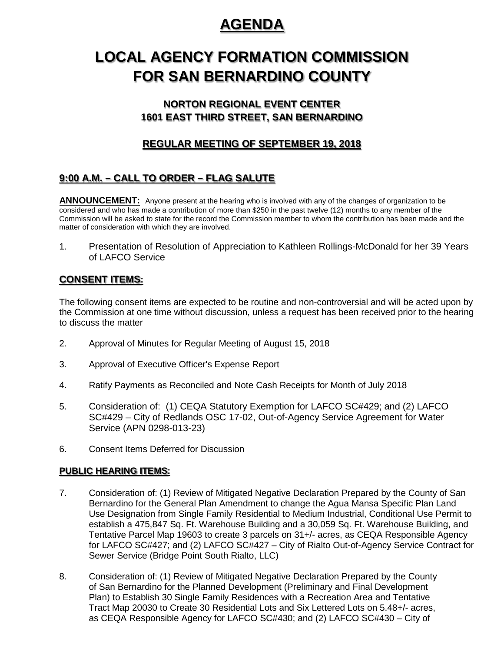# **AGENDA**

# **LOCAL AGENCY FORMATION COMMISSION FOR SAN BERNARDINO COUNTY**

## **NORTON REGIONAL EVENT CENTER 1601 EAST THIRD STREET, SAN BERNARDINO**

## **REGULAR MEETING OF SEPTEMBER 19, 2018**

# **9:00 A.M. – CALL TO ORDER – FLAG SALUTE**

**ANNOUNCEMENT:** Anyone present at the hearing who is involved with any of the changes of organization to be considered and who has made a contribution of more than \$250 in the past twelve (12) months to any member of the Commission will be asked to state for the record the Commission member to whom the contribution has been made and the matter of consideration with which they are involved.

1. Presentation of Resolution of Appreciation to Kathleen Rollings-McDonald for her 39 Years of LAFCO Service

## **CONSENT ITEMS:**

The following consent items are expected to be routine and non-controversial and will be acted upon by the Commission at one time without discussion, unless a request has been received prior to the hearing to discuss the matter

- 2. Approval of Minutes for Regular Meeting of August 15, 2018
- 3. Approval of Executive Officer's Expense Report
- 4. Ratify Payments as Reconciled and Note Cash Receipts for Month of July 2018
- 5. Consideration of: (1) CEQA Statutory Exemption for LAFCO SC#429; and (2) LAFCO SC#429 – City of Redlands OSC 17-02, Out-of-Agency Service Agreement for Water Service (APN 0298-013-23)
- 6. Consent Items Deferred for Discussion

### **PUBLIC HEARING ITEMS:**

- 7. Consideration of: (1) Review of Mitigated Negative Declaration Prepared by the County of San Bernardino for the General Plan Amendment to change the Agua Mansa Specific Plan Land Use Designation from Single Family Residential to Medium Industrial, Conditional Use Permit to establish a 475,847 Sq. Ft. Warehouse Building and a 30,059 Sq. Ft. Warehouse Building, and Tentative Parcel Map 19603 to create 3 parcels on 31+/- acres, as CEQA Responsible Agency for LAFCO SC#427; and (2) LAFCO SC#427 – City of Rialto Out-of-Agency Service Contract for Sewer Service (Bridge Point South Rialto, LLC)
- 8. Consideration of: (1) Review of Mitigated Negative Declaration Prepared by the County of San Bernardino for the Planned Development (Preliminary and Final Development Plan) to Establish 30 Single Family Residences with a Recreation Area and Tentative Tract Map 20030 to Create 30 Residential Lots and Six Lettered Lots on 5.48+/- acres, as CEQA Responsible Agency for LAFCO SC#430; and (2) LAFCO SC#430 – City of